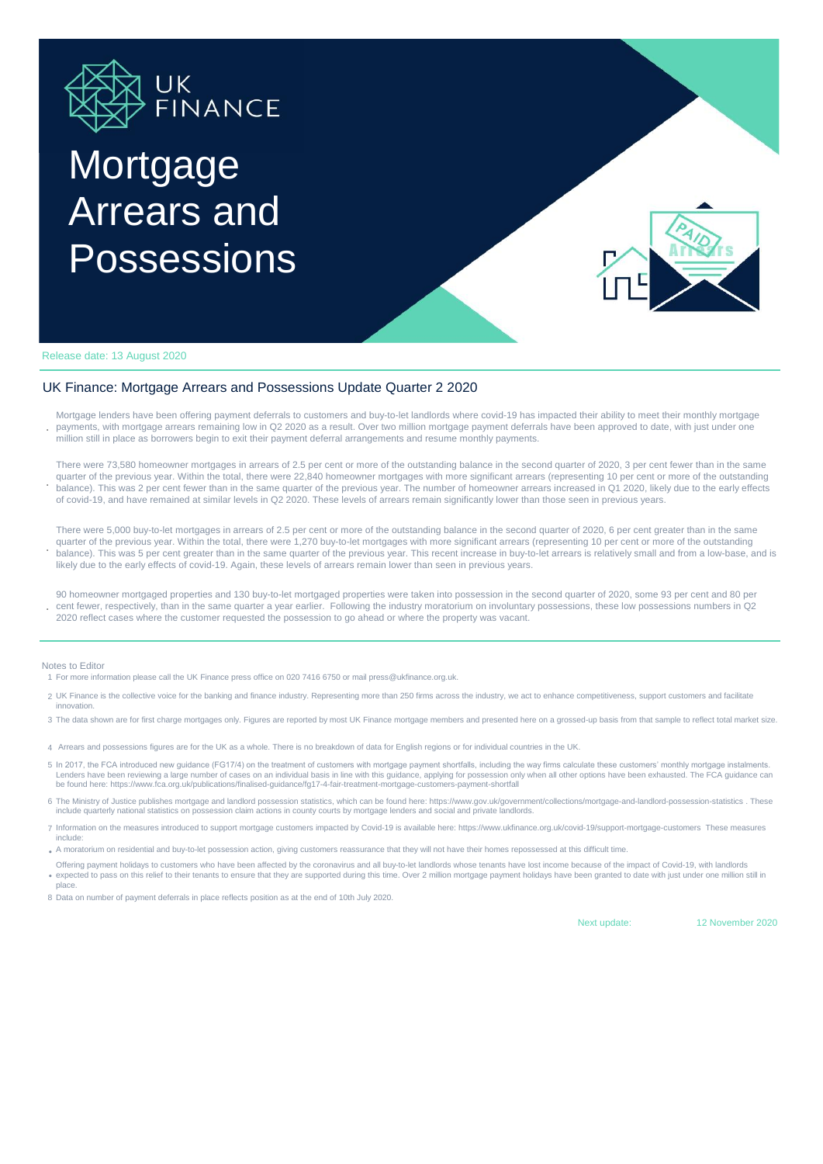

# **Mortgage** Arrears and Possessions



Release date: 13 August 2020

### UK Finance: Mortgage Arrears and Possessions Update Quarter 2 2020

**.** Mortgage lenders have been offering payment deferrals to customers and buy-to-let landlords where covid-19 has impacted their ability to meet their monthly mortgage payments, with mortgage arrears remaining low in Q2 2020 as a result. Over two million mortgage payment deferrals have been approved to date, with just under one million still in place as borrowers begin to exit their payment deferral arrangements and resume monthly payments.

**.** There were 73,580 homeowner mortgages in arrears of 2.5 per cent or more of the outstanding balance in the second quarter of 2020, 3 per cent fewer than in the same quarter of the previous year. Within the total, there were 22,840 homeowner mortgages with more significant arrears (representing 10 per cent or more of the outstanding balance). This was 2 per cent fewer than in the same quarter of the previous year. The number of homeowner arrears increased in Q1 2020, likely due to the early effects of covid-19, and have remained at similar levels in Q2 2020. These levels of arrears remain significantly lower than those seen in previous years.

**.** There were 5,000 buy-to-let mortgages in arrears of 2.5 per cent or more of the outstanding balance in the second quarter of 2020, 6 per cent greater than in the same quarter of the previous year. Within the total, there were 1,270 buy-to-let mortgages with more significant arrears (representing 10 per cent or more of the outstanding balance). This was 5 per cent greater than in the same quarter of the previous year. This recent increase in buy-to-let arrears is relatively small and from a low-base, and is likely due to the early effects of covid-19. Again, these levels of arrears remain lower than seen in previous years.

90 homeowner mortgaged properties and 130 buy-to-let mortgaged properties were taken into possession in the second quarter of 2020, some 93 per cent and 80 per cent fewer, respectively, than in the same quarter a year earlier. Following the industry moratorium on involuntary possessions, these low possessions numbers in Q2 2020 reflect cases where the customer requested the possession to go ahead or where the property was vacant.

#### Notes to Editor

**.**

1 For more information please call the UK Finance press office on 020 7416 6750 or mail press@ukfinance.org.uk.

- 2 UK Finance is the collective voice for the banking and finance industry. Representing more than 250 firms across the industry, we act to enhance competitiveness, support customers and facilitate innovation.
- 3 The data shown are for first charge mortgages only. Figures are reported by most UK Finance mortgage members and presented here on a grossed-up basis from that sample to reflect total market size.
- 4 Arrears and possessions figures are for the UK as a whole. There is no breakdown of data for English regions or for individual countries in the UK.
- 5 In 2017, the FCA introduced new guidance (FG17/4) on the treatment of customers with mortgage payment shortfalls, including the way firms calculate these customers' monthly mortgage instalments. Lenders have been reviewing a large number of cases on an individual basis in line with this guidance, applying for possession only when all other options have been exhausted. The FCA guidance can be found here: https://www.fca.org.uk/publications/finalised-guidance/fg17-4-fair-treatment-mortgage-customers-payment-shortfall
- 6 The Ministry of Justice publishes mortgage and landlord possession statistics, which can be found here: https://www.gov.uk/government/collections/mortgage-and-landlord-possession-statistics . These<br>include quarterly nati
- 7 Information on the measures introduced to support mortgage customers impacted by Covid-19 is available here: https://www.ukfinance.org.uk/covid-19/support-mortgage-customers These measures include:
- A moratorium on residential and buy-to-let possession action, giving customers reassurance that they will not have their homes repossessed at this difficult time.
- expected to pass on this relief to their tenants to ensure that they are supported during this time. Over 2 million mortgage payment holidays have been granted to date with just under one million still in Offering payment holidays to customers who have been affected by the coronavirus and all buy-to-let landlords whose tenants have lost income because of the impact of Covid-19, with landlords place.
- 8 Data on number of payment deferrals in place reflects position as at the end of 10th July 2020.

Next update: 12 November 2020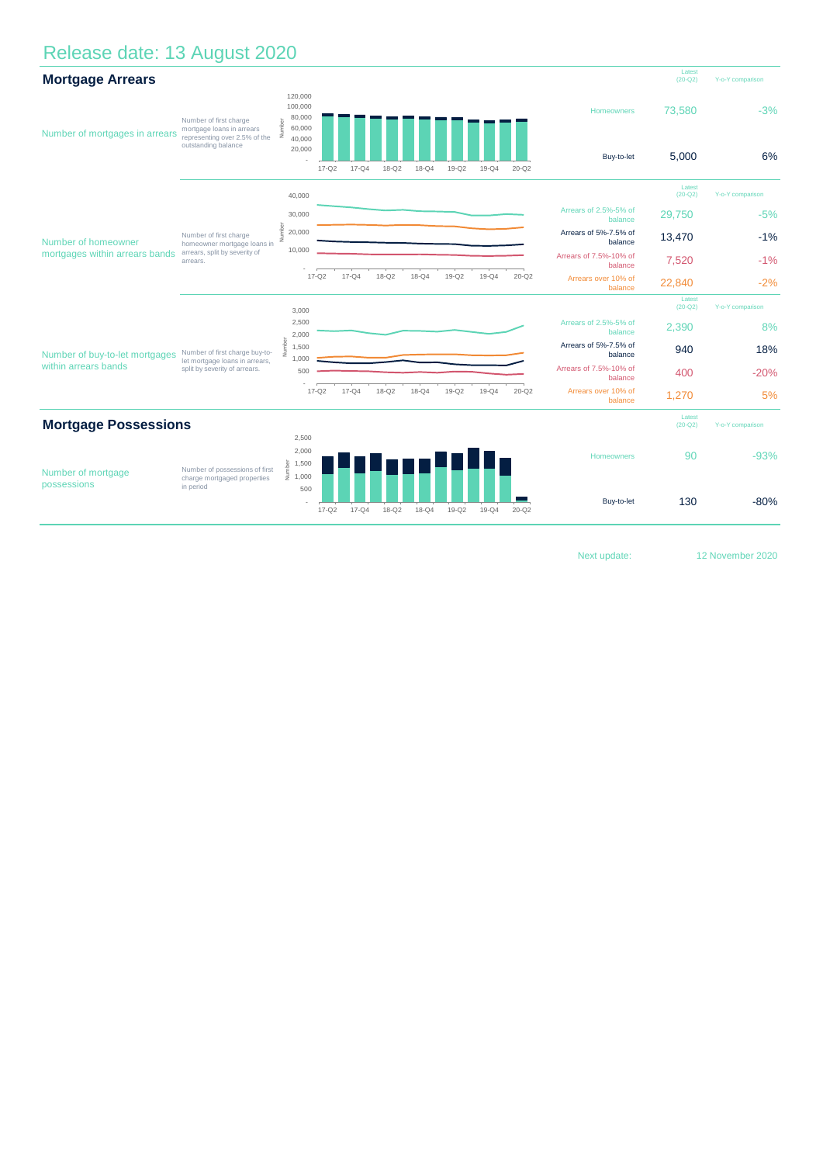## Release date: 13 August 2020



Next update:

12 November 2020